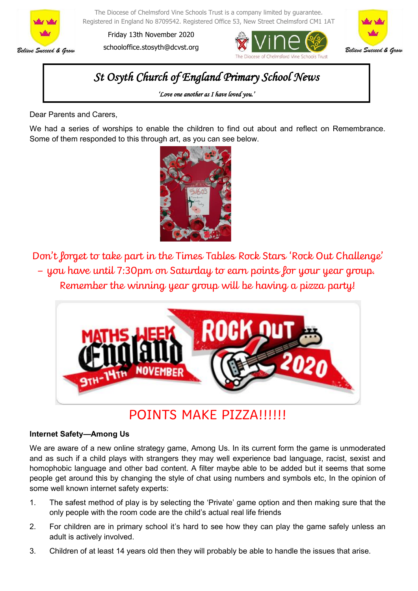

The Diocese of Chelmsford Vine Schools Trust is a company limited by guarantee. Registered in England No 8709542. Registered Office 53, New Street Chelmsford CM1 1AT

Friday 13th November 2020 schooloffice.stosyth@dcvst.org





## *St Osyth Church of England Primary School News*

*'Love one another as I have loved you.'* 

Dear Parents and Carers,

We had a series of worships to enable the children to find out about and reflect on Remembrance. Some of them responded to this through art, as you can see below.



Don't forget to take part in the Times Tables Rock Stars 'Rock Out Challenge' – you have until 7:30pm on Saturday to earn points for your year group. Remember the winning year group will be having a pizza party!



## POINTS MAKE PIZZA!!!!!!

## **Internet Safety—Among Us**

We are aware of a new online strategy game, Among Us. In its current form the game is unmoderated and as such if a child plays with strangers they may well experience bad language, racist, sexist and homophobic language and other bad content. A filter maybe able to be added but it seems that some people get around this by changing the style of chat using numbers and symbols etc, In the opinion of some well known internet safety experts:

- 1. The safest method of play is by selecting the 'Private' game option and then making sure that the only people with the room code are the child's actual real life friends
- 2. For children are in primary school it's hard to see how they can play the game safely unless an adult is actively involved.
- 3. Children of at least 14 years old then they will probably be able to handle the issues that arise.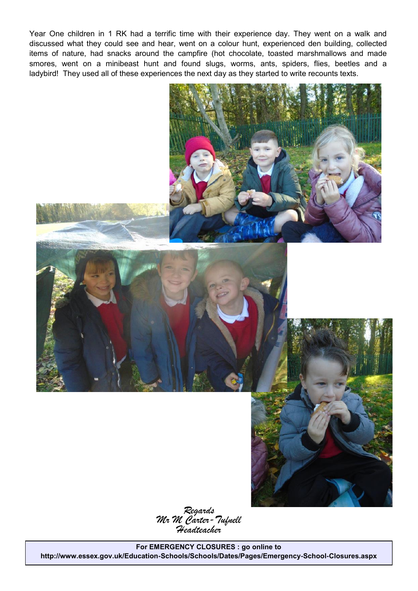Year One children in 1 RK had a terrific time with their experience day. They went on a walk and discussed what they could see and hear, went on a colour hunt, experienced den building, collected items of nature, had snacks around the campfire (hot chocolate, toasted marshmallows and made smores, went on a minibeast hunt and found slugs, worms, ants, spiders, flies, beetles and a ladybird! They used all of these experiences the next day as they started to write recounts texts.



*Regards Mr M Carter-Tufnell Headteacher*

**For EMERGENCY CLOSURES : go online to http://www.essex.gov.uk/Education-Schools/Schools/Dates/Pages/Emergency-School-Closures.aspx**